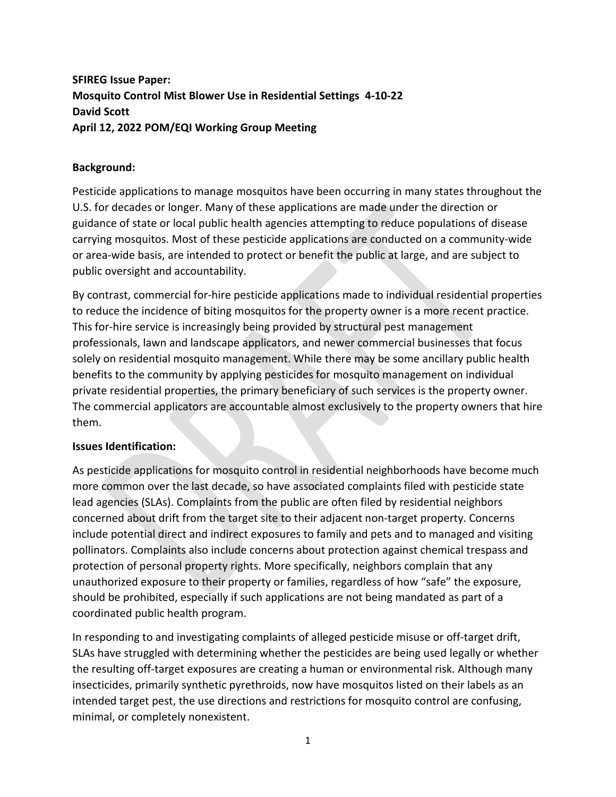## **SFIREG Issue Paper: Mosquito Control Mist Blower Use in Residential Settings 4-10-22 David Scott April 12, 2022 POM/EQI Working Group Meeting**

## **Background:**

Pesticide applications to manage mosquitos have been occurring in many states throughout the U.S. for decades or longer. Many of these applications are made under the direction or guidance of state or local public health agencies attempting to reduce populations of disease carrying mosquitos. Most of these pesticide applications are conducted on a community-wide or area-wide basis, are intended to protect or benefit the public at large, and are subject to public oversight and accountability.

By contrast, commercial for-hire pesticide applications made to individual residential properties to reduce the incidence of biting mosquitos for the property owner is a more recent practice. This for-hire service is increasingly being provided by structural pest management professionals, lawn and landscape applicators, and newer commercial businesses that focus solely on residential mosquito management. While there may be some ancillary public health benefits to the community by applying pesticides for mosquito management on individual private residential properties, the primary beneficiary of such services is the property owner. The commercial applicators are accountable almost exclusively to the property owners that hire them.

## **Issues Identification:**

As pesticide applications for mosquito control in residential neighborhoods have become much more common over the last decade, so have associated complaints filed with pesticide state lead agencies (SLAs). Complaints from the public are often filed by residential neighbors concerned about drift from the target site to their adjacent non-target property. Concerns include potential direct and indirect exposures to family and pets and to managed and visiting pollinators. Complaints also include concerns about protection against chemical trespass and protection of personal property rights. More specifically, neighbors complain that any unauthorized exposure to their property or families, regardless of how "safe" the exposure, should be prohibited, especially if such applications are not being mandated as part of a coordinated public health program.

In responding to and investigating complaints of alleged pesticide misuse or off-target drift, SLAs have struggled with determining whether the pesticides are being used legally or whether the resulting off-target exposures are creating a human or environmental risk. Although many insecticides, primarily synthetic pyrethroids, now have mosquitos listed on their labels as an intended target pest, the use directions and restrictions for mosquito control are confusing, minimal, or completely nonexistent.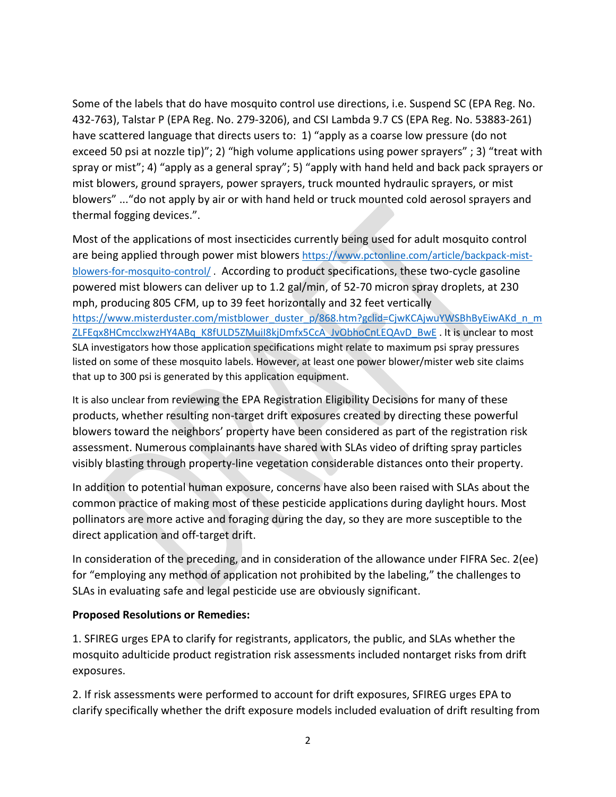Some of the labels that do have mosquito control use directions, i.e. Suspend SC (EPA Reg. No. 432-763), Talstar P (EPA Reg. No. 279-3206), and CSI Lambda 9.7 CS (EPA Reg. No. 53883-261) have scattered language that directs users to: 1) "apply as a coarse low pressure (do not exceed 50 psi at nozzle tip)"; 2) "high volume applications using power sprayers" ; 3) "treat with spray or mist"; 4) "apply as a general spray"; 5) "apply with hand held and back pack sprayers or mist blowers, ground sprayers, power sprayers, truck mounted hydraulic sprayers, or mist blowers" ..."do not apply by air or with hand held or truck mounted cold aerosol sprayers and thermal fogging devices.".

Most of the applications of most insecticides currently being used for adult mosquito control are being applied through power mist blowers [https://www.pctonline.com/article/backpack-mist](https://www.pctonline.com/article/backpack-mist-blowers-for-mosquito-control/)[blowers-for-mosquito-control/](https://www.pctonline.com/article/backpack-mist-blowers-for-mosquito-control/) . According to product specifications, these two-cycle gasoline powered mist blowers can deliver up to 1.2 gal/min, of 52-70 micron spray droplets, at 230 mph, producing 805 CFM, up to 39 feet horizontally and 32 feet vertically [https://www.misterduster.com/mistblower\\_duster\\_p/868.htm?gclid=CjwKCAjwuYWSBhByEiwAKd\\_n\\_m](https://www.misterduster.com/mistblower_duster_p/868.htm?gclid=CjwKCAjwuYWSBhByEiwAKd_n_mZLFEqx8HCmcclxwzHY4ABq_K8fULD5ZMuiI8kjDmfx5CcA_JvObhoCnLEQAvD_BwE) [ZLFEqx8HCmcclxwzHY4ABq\\_K8fULD5ZMuiI8kjDmfx5CcA\\_JvObhoCnLEQAvD\\_BwE](https://www.misterduster.com/mistblower_duster_p/868.htm?gclid=CjwKCAjwuYWSBhByEiwAKd_n_mZLFEqx8HCmcclxwzHY4ABq_K8fULD5ZMuiI8kjDmfx5CcA_JvObhoCnLEQAvD_BwE) . It is unclear to most SLA investigators how those application specifications might relate to maximum psi spray pressures listed on some of these mosquito labels. However, at least one power blower/mister web site claims that up to 300 psi is generated by this application equipment.

It is also unclear from reviewing the EPA Registration Eligibility Decisions for many of these products, whether resulting non-target drift exposures created by directing these powerful blowers toward the neighbors' property have been considered as part of the registration risk assessment. Numerous complainants have shared with SLAs video of drifting spray particles visibly blasting through property-line vegetation considerable distances onto their property.

In addition to potential human exposure, concerns have also been raised with SLAs about the common practice of making most of these pesticide applications during daylight hours. Most pollinators are more active and foraging during the day, so they are more susceptible to the direct application and off-target drift.

In consideration of the preceding, and in consideration of the allowance under FIFRA Sec. 2(ee) for "employing any method of application not prohibited by the labeling," the challenges to SLAs in evaluating safe and legal pesticide use are obviously significant.

## **Proposed Resolutions or Remedies:**

1. SFIREG urges EPA to clarify for registrants, applicators, the public, and SLAs whether the mosquito adulticide product registration risk assessments included nontarget risks from drift exposures.

2. If risk assessments were performed to account for drift exposures, SFIREG urges EPA to clarify specifically whether the drift exposure models included evaluation of drift resulting from